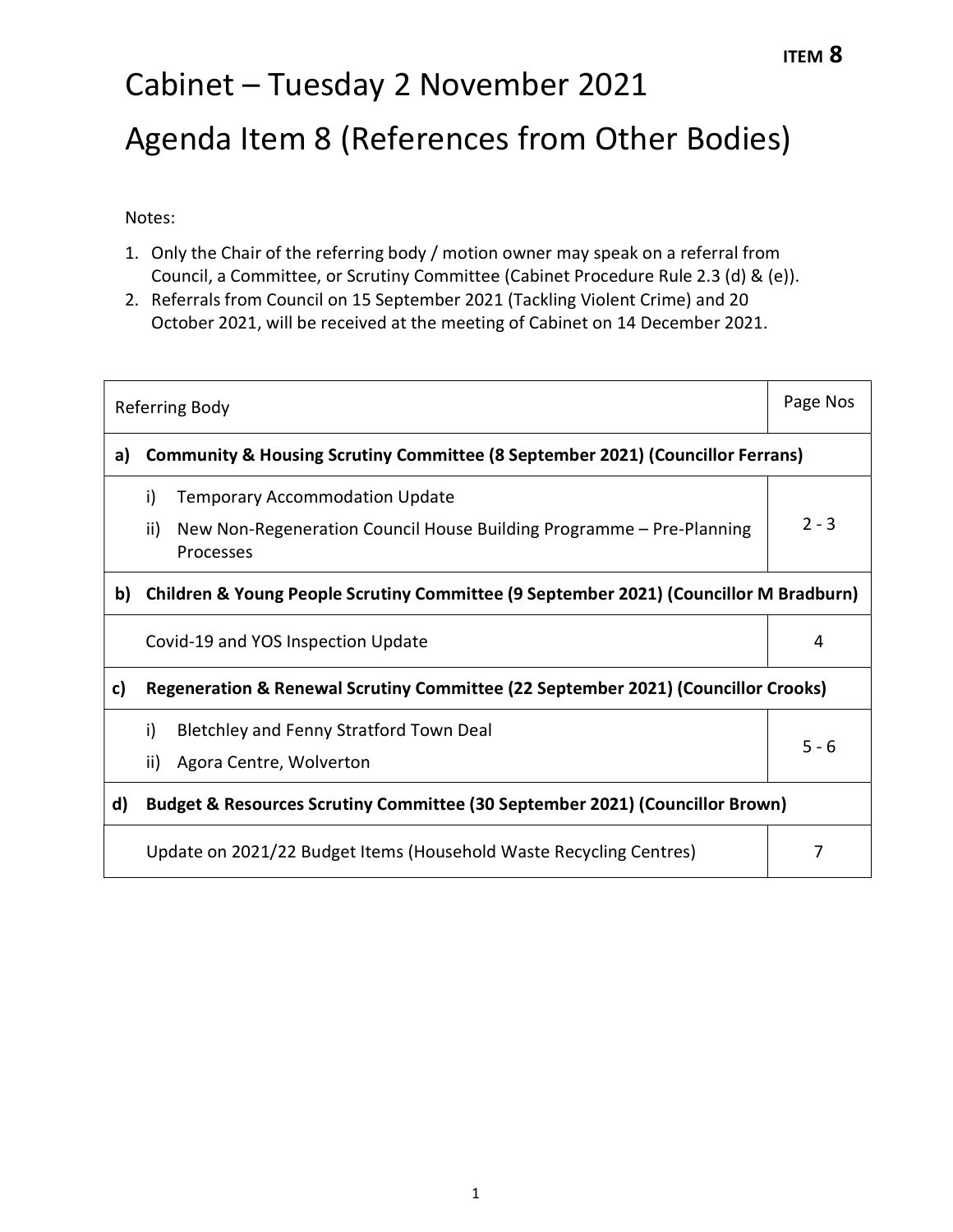# Cabinet – Tuesday 2 November 2021 Agenda Item 8 (References from Other Bodies) ITEM 8

Notes:

- 1. Only the Chair of the referring body / motion owner may speak on a referral from Council, a Committee, or Scrutiny Committee (Cabinet Procedure Rule 2.3 (d) & (e)).
- 2. Referrals from Council on 15 September 2021 (Tackling Violent Crime) and 20 October 2021, will be received at the meeting of Cabinet on 14 December 2021.

| Referring Body |                                                                                                                                                | Page Nos |  |
|----------------|------------------------------------------------------------------------------------------------------------------------------------------------|----------|--|
| a)             | Community & Housing Scrutiny Committee (8 September 2021) (Councillor Ferrans)                                                                 |          |  |
|                | i)<br><b>Temporary Accommodation Update</b><br>New Non-Regeneration Council House Building Programme - Pre-Planning<br>ii)<br><b>Processes</b> | $2 - 3$  |  |
| b)             | Children & Young People Scrutiny Committee (9 September 2021) (Councillor M Bradburn)                                                          |          |  |
|                | Covid-19 and YOS Inspection Update                                                                                                             | 4        |  |
| c)             | Regeneration & Renewal Scrutiny Committee (22 September 2021) (Councillor Crooks)                                                              |          |  |
|                | i)<br><b>Bletchley and Fenny Stratford Town Deal</b><br>ii)<br>Agora Centre, Wolverton                                                         | $5 - 6$  |  |
| d)             | Budget & Resources Scrutiny Committee (30 September 2021) (Councillor Brown)                                                                   |          |  |
|                | Update on 2021/22 Budget Items (Household Waste Recycling Centres)                                                                             |          |  |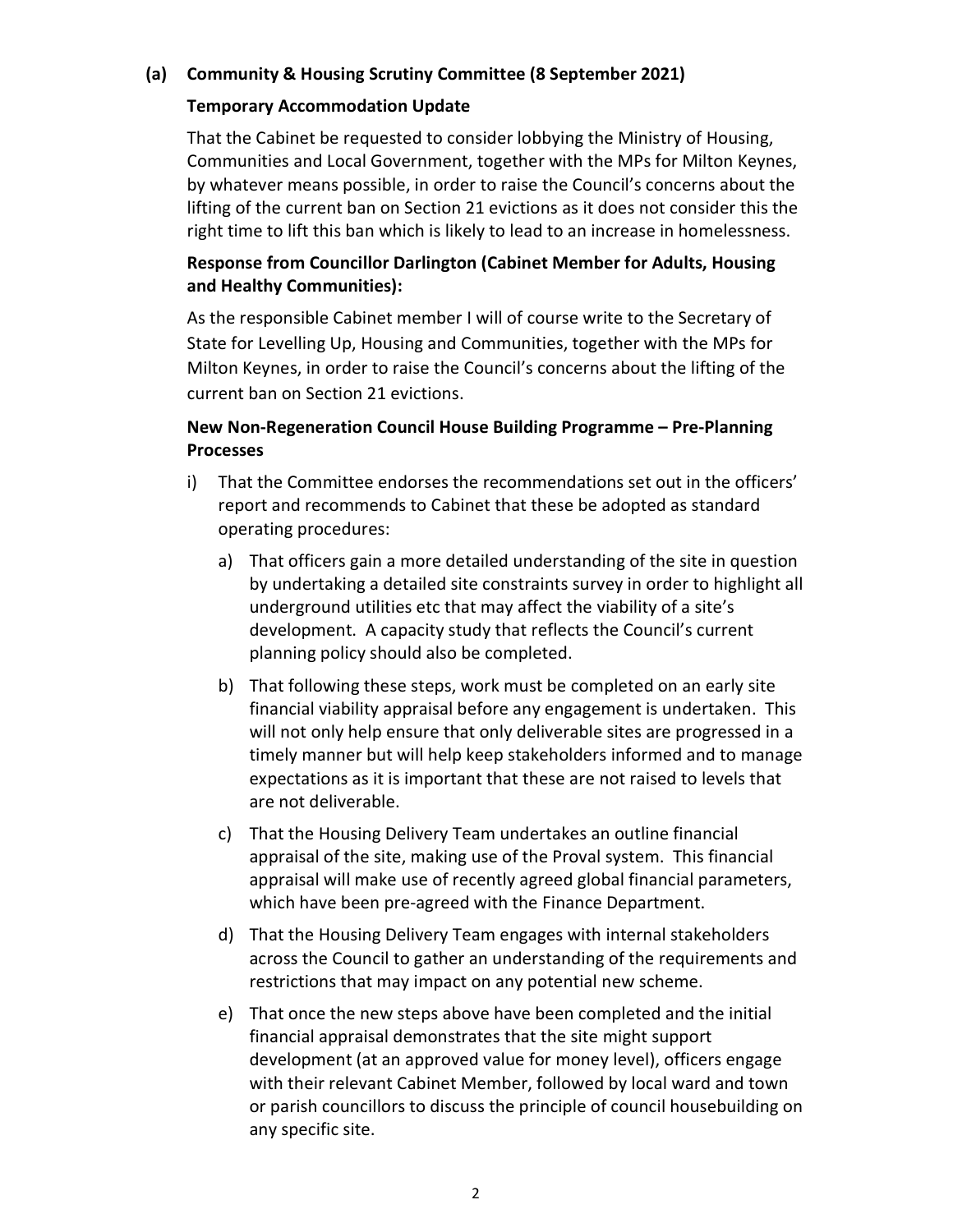## (a) Community & Housing Scrutiny Committee (8 September 2021)

## Temporary Accommodation Update

That the Cabinet be requested to consider lobbying the Ministry of Housing, Communities and Local Government, together with the MPs for Milton Keynes, by whatever means possible, in order to raise the Council's concerns about the lifting of the current ban on Section 21 evictions as it does not consider this the right time to lift this ban which is likely to lead to an increase in homelessness.

# Response from Councillor Darlington (Cabinet Member for Adults, Housing and Healthy Communities):

As the responsible Cabinet member I will of course write to the Secretary of State for Levelling Up, Housing and Communities, together with the MPs for Milton Keynes, in order to raise the Council's concerns about the lifting of the current ban on Section 21 evictions.

# New Non-Regeneration Council House Building Programme – Pre-Planning Processes

- i) That the Committee endorses the recommendations set out in the officers' report and recommends to Cabinet that these be adopted as standard operating procedures:
	- a) That officers gain a more detailed understanding of the site in question by undertaking a detailed site constraints survey in order to highlight all underground utilities etc that may affect the viability of a site's development. A capacity study that reflects the Council's current planning policy should also be completed.
	- b) That following these steps, work must be completed on an early site financial viability appraisal before any engagement is undertaken. This will not only help ensure that only deliverable sites are progressed in a timely manner but will help keep stakeholders informed and to manage expectations as it is important that these are not raised to levels that are not deliverable.
	- c) That the Housing Delivery Team undertakes an outline financial appraisal of the site, making use of the Proval system. This financial appraisal will make use of recently agreed global financial parameters, which have been pre-agreed with the Finance Department.
	- d) That the Housing Delivery Team engages with internal stakeholders across the Council to gather an understanding of the requirements and restrictions that may impact on any potential new scheme.
	- e) That once the new steps above have been completed and the initial financial appraisal demonstrates that the site might support development (at an approved value for money level), officers engage with their relevant Cabinet Member, followed by local ward and town or parish councillors to discuss the principle of council housebuilding on any specific site.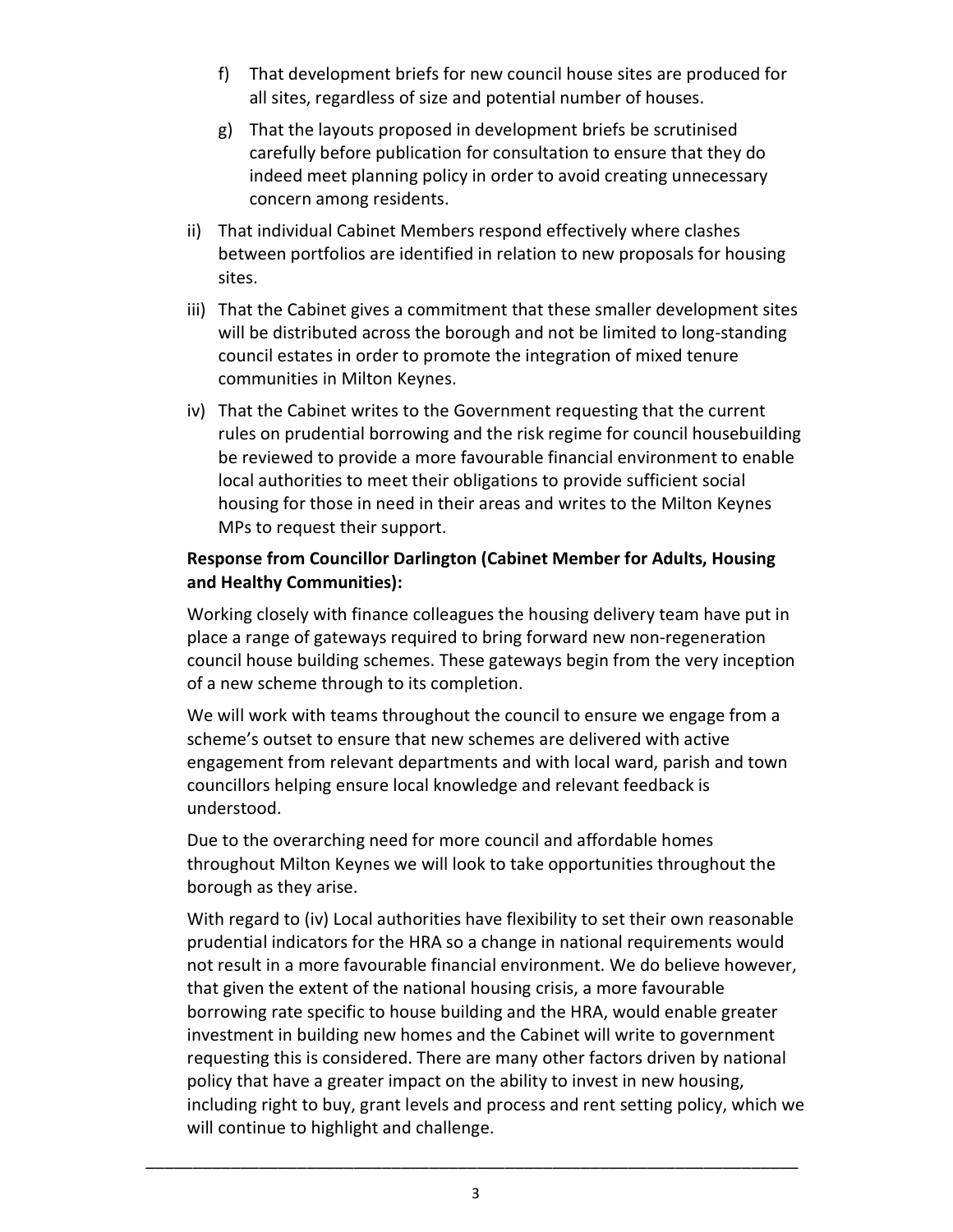- f) That development briefs for new council house sites are produced for all sites, regardless of size and potential number of houses.
- g) That the layouts proposed in development briefs be scrutinised carefully before publication for consultation to ensure that they do indeed meet planning policy in order to avoid creating unnecessary concern among residents.
- ii) That individual Cabinet Members respond effectively where clashes between portfolios are identified in relation to new proposals for housing sites.
- iii) That the Cabinet gives a commitment that these smaller development sites will be distributed across the borough and not be limited to long-standing council estates in order to promote the integration of mixed tenure communities in Milton Keynes.
- iv) That the Cabinet writes to the Government requesting that the current rules on prudential borrowing and the risk regime for council housebuilding be reviewed to provide a more favourable financial environment to enable local authorities to meet their obligations to provide sufficient social housing for those in need in their areas and writes to the Milton Keynes MPs to request their support.

## Response from Councillor Darlington (Cabinet Member for Adults, Housing and Healthy Communities):

Working closely with finance colleagues the housing delivery team have put in place a range of gateways required to bring forward new non-regeneration council house building schemes. These gateways begin from the very inception of a new scheme through to its completion.

We will work with teams throughout the council to ensure we engage from a scheme's outset to ensure that new schemes are delivered with active engagement from relevant departments and with local ward, parish and town councillors helping ensure local knowledge and relevant feedback is understood.

Due to the overarching need for more council and affordable homes throughout Milton Keynes we will look to take opportunities throughout the borough as they arise.

With regard to (iv) Local authorities have flexibility to set their own reasonable prudential indicators for the HRA so a change in national requirements would not result in a more favourable financial environment. We do believe however, that given the extent of the national housing crisis, a more favourable borrowing rate specific to house building and the HRA, would enable greater investment in building new homes and the Cabinet will write to government requesting this is considered. There are many other factors driven by national policy that have a greater impact on the ability to invest in new housing, including right to buy, grant levels and process and rent setting policy, which we will continue to highlight and challenge.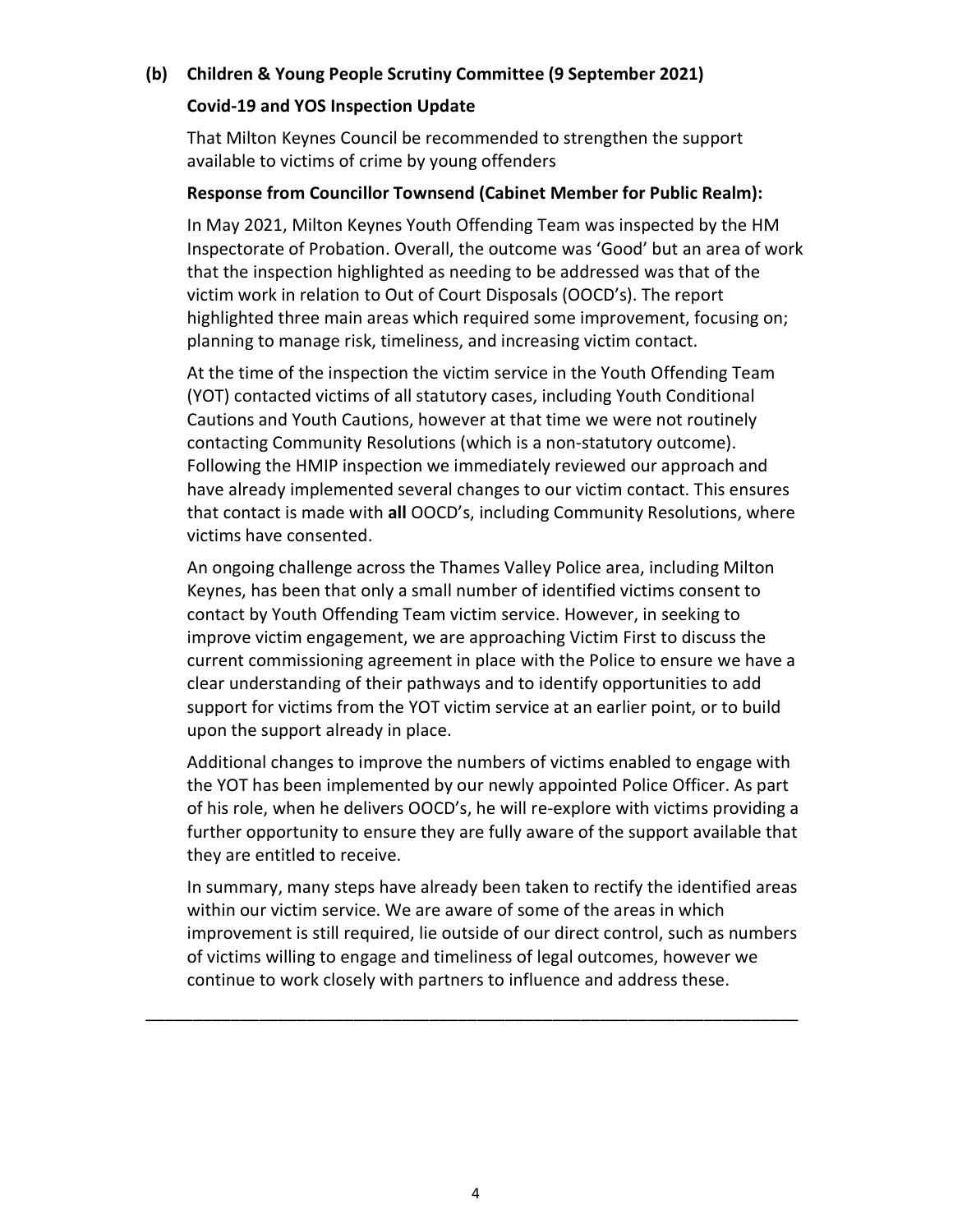### (b) Children & Young People Scrutiny Committee (9 September 2021)

#### Covid-19 and YOS Inspection Update

That Milton Keynes Council be recommended to strengthen the support available to victims of crime by young offenders

#### Response from Councillor Townsend (Cabinet Member for Public Realm):

In May 2021, Milton Keynes Youth Offending Team was inspected by the HM Inspectorate of Probation. Overall, the outcome was 'Good' but an area of work that the inspection highlighted as needing to be addressed was that of the victim work in relation to Out of Court Disposals (OOCD's). The report highlighted three main areas which required some improvement, focusing on; planning to manage risk, timeliness, and increasing victim contact.

At the time of the inspection the victim service in the Youth Offending Team (YOT) contacted victims of all statutory cases, including Youth Conditional Cautions and Youth Cautions, however at that time we were not routinely contacting Community Resolutions (which is a non-statutory outcome). Following the HMIP inspection we immediately reviewed our approach and have already implemented several changes to our victim contact. This ensures that contact is made with all OOCD's, including Community Resolutions, where victims have consented.

An ongoing challenge across the Thames Valley Police area, including Milton Keynes, has been that only a small number of identified victims consent to contact by Youth Offending Team victim service. However, in seeking to improve victim engagement, we are approaching Victim First to discuss the current commissioning agreement in place with the Police to ensure we have a clear understanding of their pathways and to identify opportunities to add support for victims from the YOT victim service at an earlier point, or to build upon the support already in place.

Additional changes to improve the numbers of victims enabled to engage with the YOT has been implemented by our newly appointed Police Officer. As part of his role, when he delivers OOCD's, he will re-explore with victims providing a further opportunity to ensure they are fully aware of the support available that they are entitled to receive.

In summary, many steps have already been taken to rectify the identified areas within our victim service. We are aware of some of the areas in which improvement is still required, lie outside of our direct control, such as numbers of victims willing to engage and timeliness of legal outcomes, however we continue to work closely with partners to influence and address these.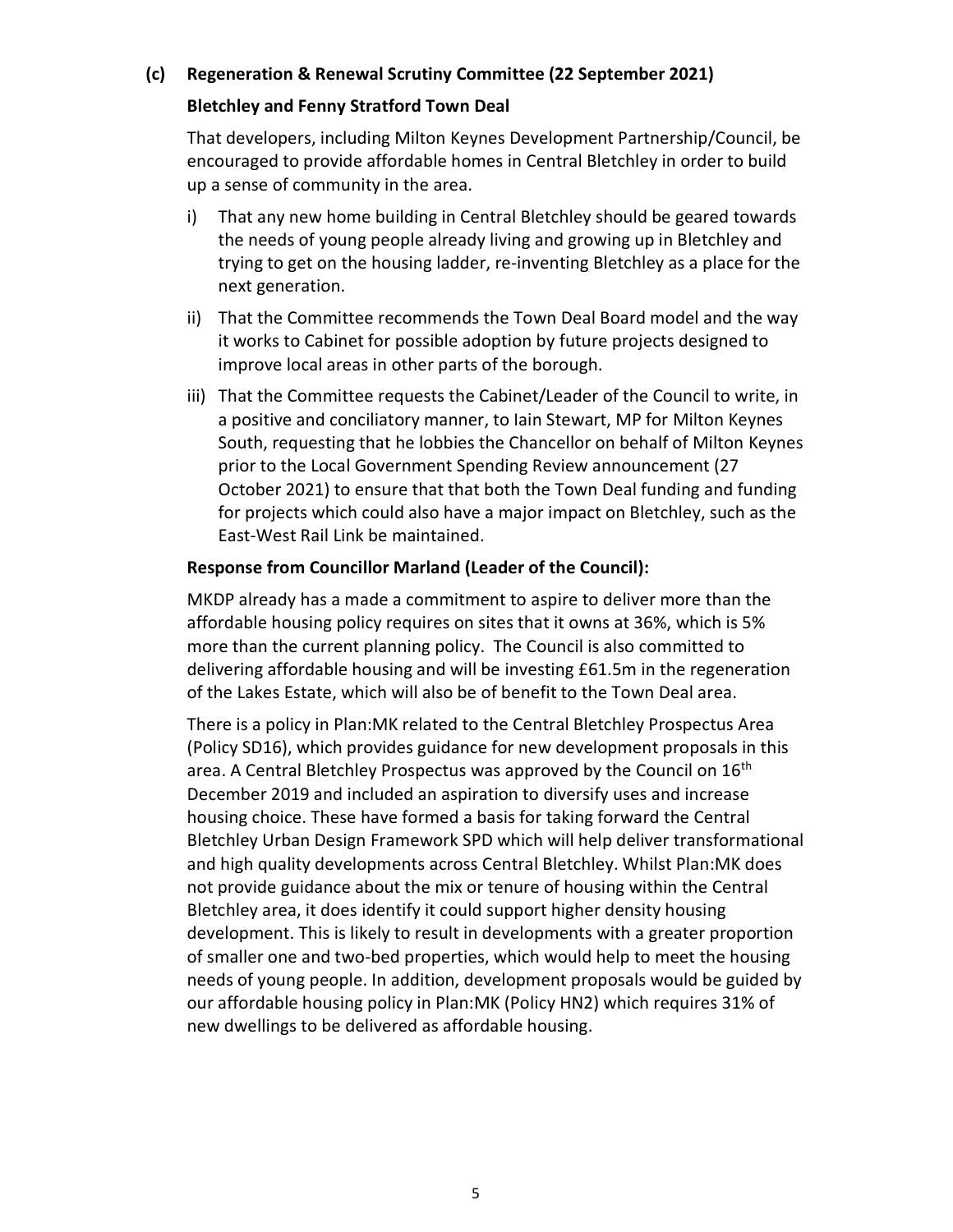## (c) Regeneration & Renewal Scrutiny Committee (22 September 2021)

#### Bletchley and Fenny Stratford Town Deal

That developers, including Milton Keynes Development Partnership/Council, be encouraged to provide affordable homes in Central Bletchley in order to build up a sense of community in the area.

- i) That any new home building in Central Bletchley should be geared towards the needs of young people already living and growing up in Bletchley and trying to get on the housing ladder, re-inventing Bletchley as a place for the next generation.
- ii) That the Committee recommends the Town Deal Board model and the way it works to Cabinet for possible adoption by future projects designed to improve local areas in other parts of the borough.
- iii) That the Committee requests the Cabinet/Leader of the Council to write, in a positive and conciliatory manner, to Iain Stewart, MP for Milton Keynes South, requesting that he lobbies the Chancellor on behalf of Milton Keynes prior to the Local Government Spending Review announcement (27 October 2021) to ensure that that both the Town Deal funding and funding for projects which could also have a major impact on Bletchley, such as the East-West Rail Link be maintained.

#### Response from Councillor Marland (Leader of the Council):

MKDP already has a made a commitment to aspire to deliver more than the affordable housing policy requires on sites that it owns at 36%, which is 5% more than the current planning policy. The Council is also committed to delivering affordable housing and will be investing £61.5m in the regeneration of the Lakes Estate, which will also be of benefit to the Town Deal area.

There is a policy in Plan:MK related to the Central Bletchley Prospectus Area (Policy SD16), which provides guidance for new development proposals in this area. A Central Bletchley Prospectus was approved by the Council on 16<sup>th</sup> December 2019 and included an aspiration to diversify uses and increase housing choice. These have formed a basis for taking forward the Central Bletchley Urban Design Framework SPD which will help deliver transformational and high quality developments across Central Bletchley. Whilst Plan:MK does not provide guidance about the mix or tenure of housing within the Central Bletchley area, it does identify it could support higher density housing development. This is likely to result in developments with a greater proportion of smaller one and two-bed properties, which would help to meet the housing needs of young people. In addition, development proposals would be guided by our affordable housing policy in Plan:MK (Policy HN2) which requires 31% of new dwellings to be delivered as affordable housing.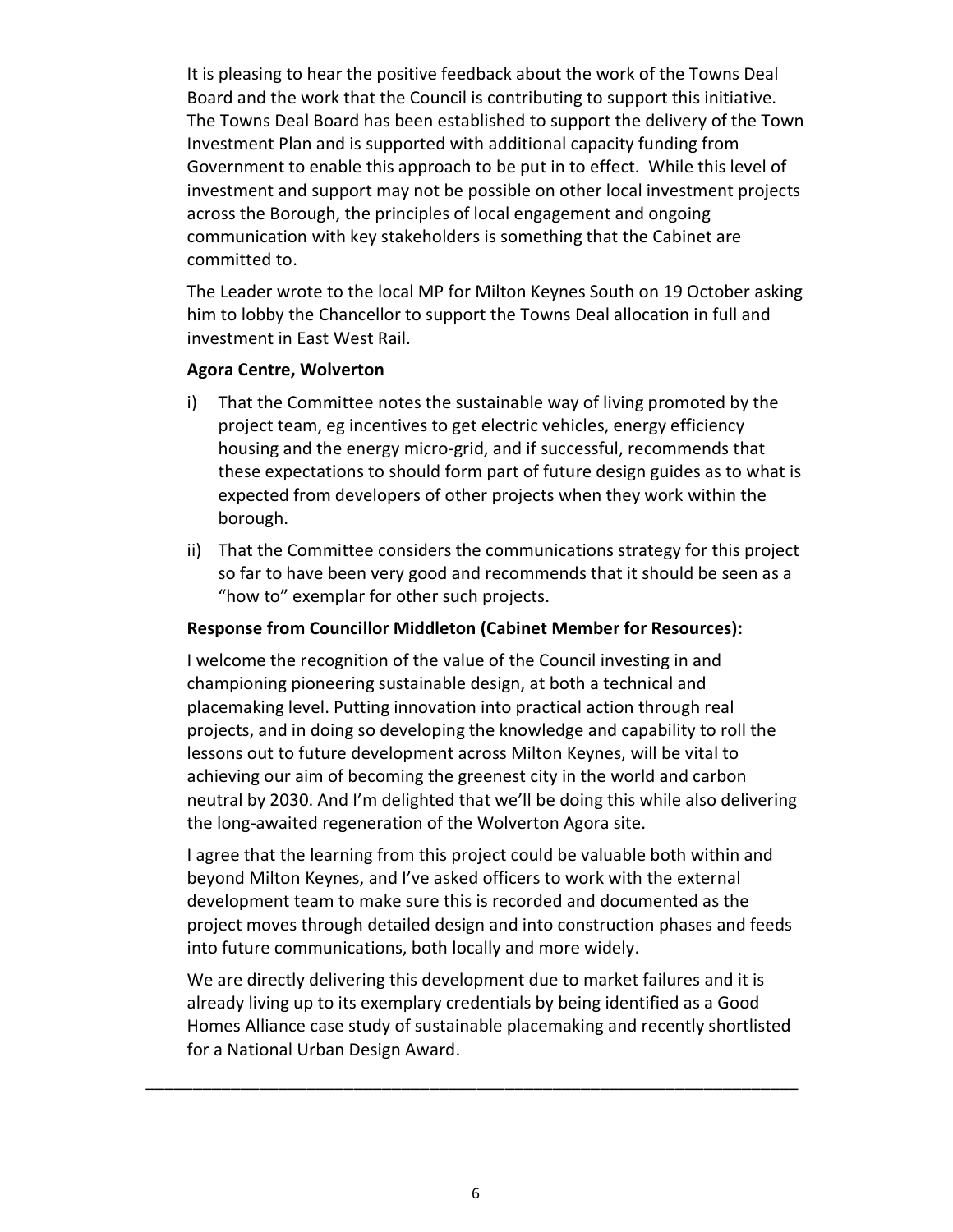It is pleasing to hear the positive feedback about the work of the Towns Deal Board and the work that the Council is contributing to support this initiative. The Towns Deal Board has been established to support the delivery of the Town Investment Plan and is supported with additional capacity funding from Government to enable this approach to be put in to effect. While this level of investment and support may not be possible on other local investment projects across the Borough, the principles of local engagement and ongoing communication with key stakeholders is something that the Cabinet are committed to.

The Leader wrote to the local MP for Milton Keynes South on 19 October asking him to lobby the Chancellor to support the Towns Deal allocation in full and investment in East West Rail.

#### Agora Centre, Wolverton

- i) That the Committee notes the sustainable way of living promoted by the project team, eg incentives to get electric vehicles, energy efficiency housing and the energy micro-grid, and if successful, recommends that these expectations to should form part of future design guides as to what is expected from developers of other projects when they work within the borough.
- ii) That the Committee considers the communications strategy for this project so far to have been very good and recommends that it should be seen as a "how to" exemplar for other such projects.

#### Response from Councillor Middleton (Cabinet Member for Resources):

I welcome the recognition of the value of the Council investing in and championing pioneering sustainable design, at both a technical and placemaking level. Putting innovation into practical action through real projects, and in doing so developing the knowledge and capability to roll the lessons out to future development across Milton Keynes, will be vital to achieving our aim of becoming the greenest city in the world and carbon neutral by 2030. And I'm delighted that we'll be doing this while also delivering the long-awaited regeneration of the Wolverton Agora site.

I agree that the learning from this project could be valuable both within and beyond Milton Keynes, and I've asked officers to work with the external development team to make sure this is recorded and documented as the project moves through detailed design and into construction phases and feeds into future communications, both locally and more widely.

We are directly delivering this development due to market failures and it is already living up to its exemplary credentials by being identified as a Good Homes Alliance case study of sustainable placemaking and recently shortlisted for a National Urban Design Award.